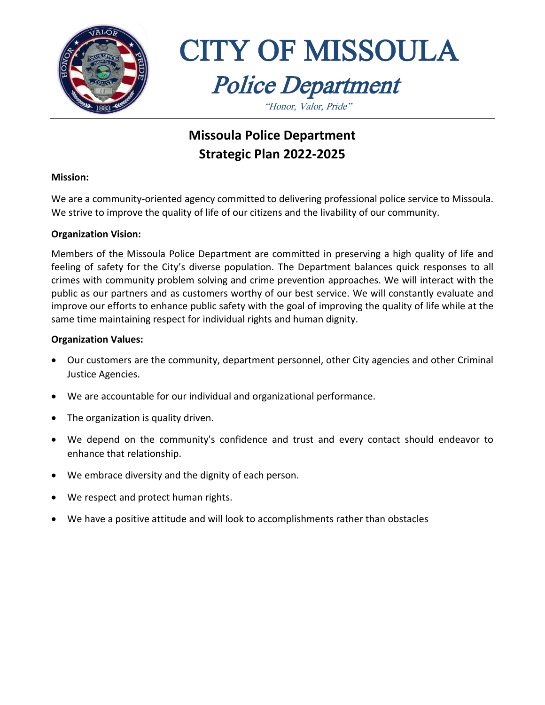



"Honor, Valor, Pride"

## **Missoula Police Department Strategic Plan 2022-2025**

#### **Mission:**

We are a community-oriented agency committed to delivering professional police service to Missoula. We strive to improve the quality of life of our citizens and the livability of our community.

#### **Organization Vision:**

Members of the Missoula Police Department are committed in preserving a high quality of life and feeling of safety for the City's diverse population. The Department balances quick responses to all crimes with community problem solving and crime prevention approaches. We will interact with the public as our partners and as customers worthy of our best service. We will constantly evaluate and improve our efforts to enhance public safety with the goal of improving the quality of life while at the same time maintaining respect for individual rights and human dignity.

#### **Organization Values:**

- Our customers are the community, department personnel, other City agencies and other Criminal Justice Agencies.
- We are accountable for our individual and organizational performance.
- The organization is quality driven.
- We depend on the community's confidence and trust and every contact should endeavor to enhance that relationship.
- We embrace diversity and the dignity of each person.
- We respect and protect human rights.
- We have a positive attitude and will look to accomplishments rather than obstacles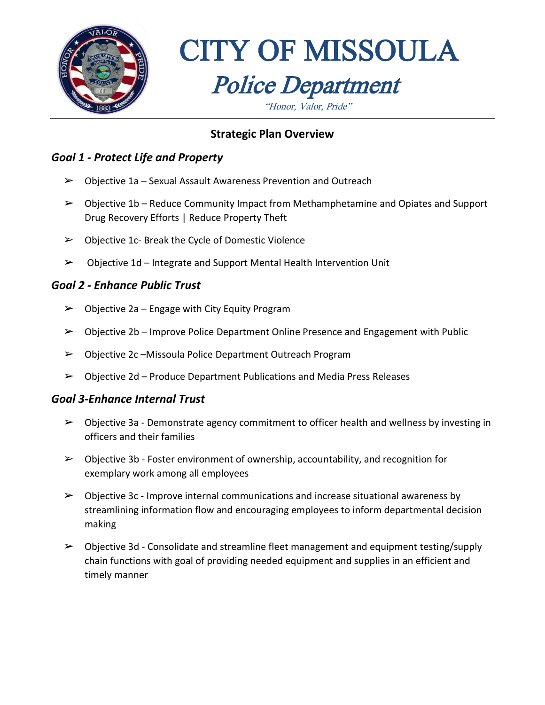

"Honor, Valor, Pride"

### **Strategic Plan Overview**

#### *Goal 1 - Protect Life and Property*

- $\triangleright$  Objective 1a Sexual Assault Awareness Prevention and Outreach
- ➢ Objective 1b Reduce Community Impact from Methamphetamine and Opiates and Support Drug Recovery Efforts | Reduce Property Theft
- ➢ Objective 1c- Break the Cycle of Domestic Violence
- ➢ Objective 1d Integrate and Support Mental Health Intervention Unit

#### *Goal 2 - Enhance Public Trust*

- $\triangleright$  Objective 2a Engage with City Equity Program
- ➢ Objective 2b Improve Police Department Online Presence and Engagement with Public
- ➢ Objective 2c –Missoula Police Department Outreach Program
- $\triangleright$  Objective 2d Produce Department Publications and Media Press Releases

#### *Goal 3-Enhance Internal Trust*

- $\triangleright$  Objective 3a Demonstrate agency commitment to officer health and wellness by investing in officers and their families
- $\triangleright$  Objective 3b Foster environment of ownership, accountability, and recognition for exemplary work among all employees
- $\triangleright$  Objective 3c Improve internal communications and increase situational awareness by streamlining information flow and encouraging employees to inform departmental decision making
- $\triangleright$  Objective 3d Consolidate and streamline fleet management and equipment testing/supply chain functions with goal of providing needed equipment and supplies in an efficient and timely manner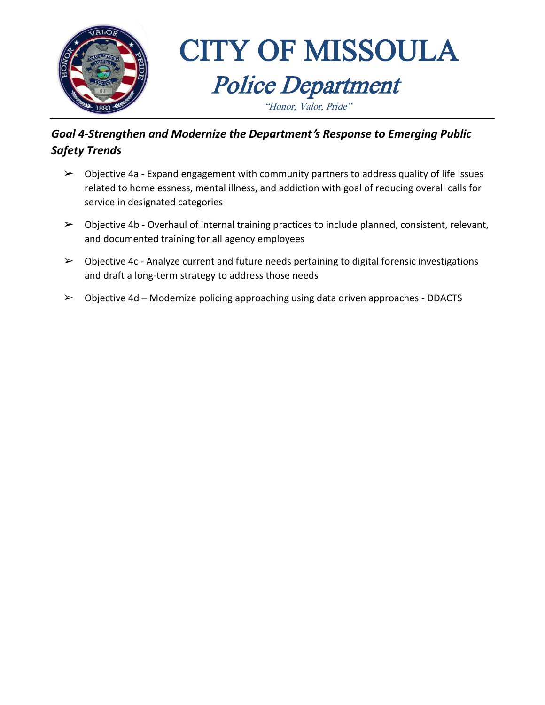

### *Goal 4-Strengthen and Modernize the Department***'***s Response to Emerging Public Safety Trends*

- $\triangleright$  Objective 4a Expand engagement with community partners to address quality of life issues related to homelessness, mental illness, and addiction with goal of reducing overall calls for service in designated categories
- $\triangleright$  Objective 4b Overhaul of internal training practices to include planned, consistent, relevant, and documented training for all agency employees
- $\triangleright$  Objective 4c Analyze current and future needs pertaining to digital forensic investigations and draft a long-term strategy to address those needs
- $\triangleright$  Objective 4d Modernize policing approaching using data driven approaches DDACTS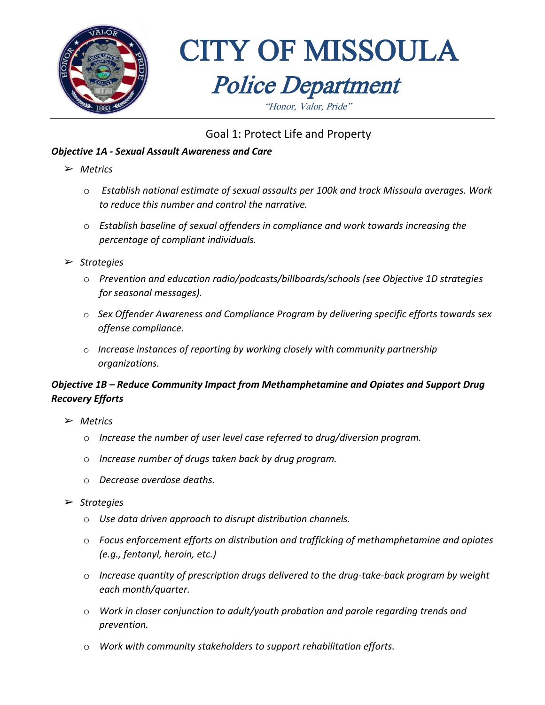

"Honor, Valor, Pride"

### Goal 1: Protect Life and Property

#### *Objective 1A - Sexual Assault Awareness and Care*

- ➢ *Metrics*
	- o *Establish national estimate of sexual assaults per 100k and track Missoula averages. Work to reduce this number and control the narrative.*
	- o *Establish baseline of sexual offenders in compliance and work towards increasing the percentage of compliant individuals.*
- ➢ *Strategies*
	- o *Prevention and education radio/podcasts/billboards/schools (see Objective 1D strategies for seasonal messages).*
	- o *Sex Offender Awareness and Compliance Program by delivering specific efforts towards sex offense compliance.*
	- o *Increase instances of reporting by working closely with community partnership organizations.*

#### *Objective 1B – Reduce Community Impact from Methamphetamine and Opiates and Support Drug Recovery Efforts*

- ➢ *Metrics*
	- o *Increase the number of user level case referred to drug/diversion program.*
	- o *Increase number of drugs taken back by drug program.*
	- o *Decrease overdose deaths.*
- ➢ *Strategies*
	- o *Use data driven approach to disrupt distribution channels.*
	- o *Focus enforcement efforts on distribution and trafficking of methamphetamine and opiates (e.g., fentanyl, heroin, etc.)*
	- o *Increase quantity of prescription drugs delivered to the drug-take-back program by weight each month/quarter.*
	- o *Work in closer conjunction to adult/youth probation and parole regarding trends and prevention.*
	- o *Work with community stakeholders to support rehabilitation efforts.*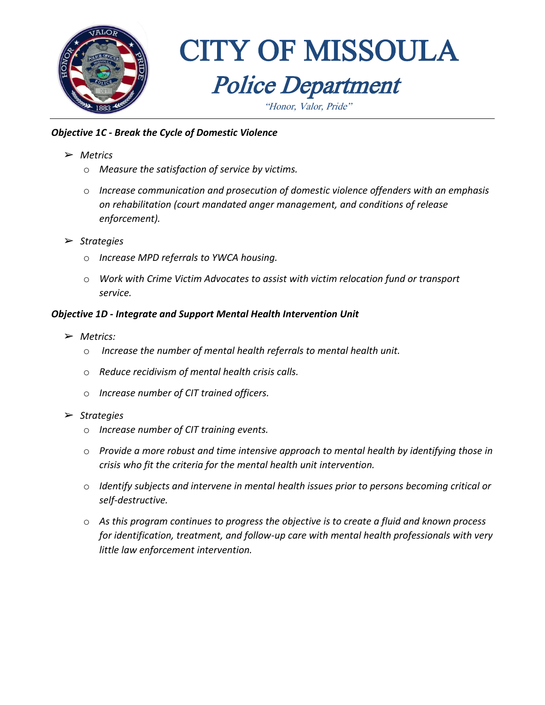

"Honor, Valor, Pride"

#### *Objective 1C - Break the Cycle of Domestic Violence*

- ➢ *Metrics*
	- o *Measure the satisfaction of service by victims.*
	- o *Increase communication and prosecution of domestic violence offenders with an emphasis on rehabilitation (court mandated anger management, and conditions of release enforcement).*
- ➢ *Strategies*
	- o *Increase MPD referrals to YWCA housing.*
	- o *Work with Crime Victim Advocates to assist with victim relocation fund or transport service.*

#### *Objective 1D - Integrate and Support Mental Health Intervention Unit*

- ➢ *Metrics:*
	- o *Increase the number of mental health referrals to mental health unit.*
	- o *Reduce recidivism of mental health crisis calls.*
	- o *Increase number of CIT trained officers.*
- ➢ *Strategies*
	- o *Increase number of CIT training events.*
	- o *Provide a more robust and time intensive approach to mental health by identifying those in crisis who fit the criteria for the mental health unit intervention.*
	- o *Identify subjects and intervene in mental health issues prior to persons becoming critical or self-destructive.*
	- o *As this program continues to progress the objective is to create a fluid and known process for identification, treatment, and follow-up care with mental health professionals with very little law enforcement intervention.*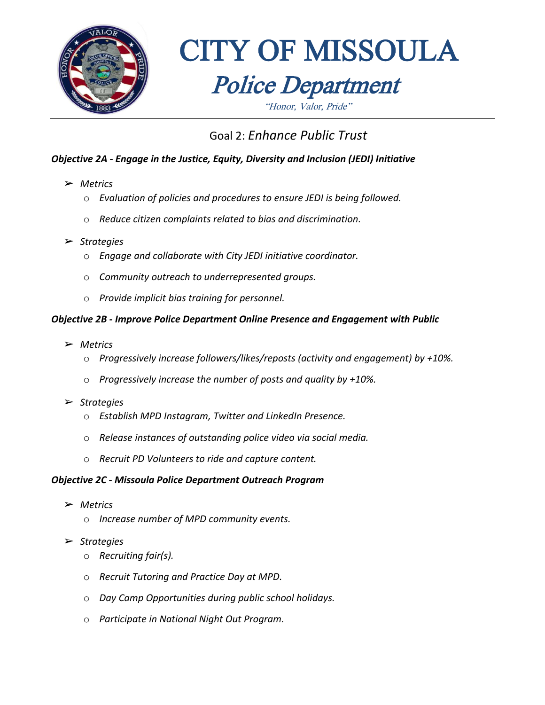

"Honor, Valor, Pride"

### Goal 2: *Enhance Public Trust*

#### *Objective 2A - Engage in the Justice, Equity, Diversity and Inclusion (JEDI) Initiative*

- ➢ *Metrics*
	- o *Evaluation of policies and procedures to ensure JEDI is being followed.*
	- o *Reduce citizen complaints related to bias and discrimination.*
- ➢ *Strategies*
	- o *Engage and collaborate with City JEDI initiative coordinator.*
	- o *Community outreach to underrepresented groups.*
	- o *Provide implicit bias training for personnel.*

#### *Objective 2B - Improve Police Department Online Presence and Engagement with Public*

- ➢ *Metrics*
	- o *Progressively increase followers/likes/reposts (activity and engagement) by +10%.*
	- o *Progressively increase the number of posts and quality by +10%.*
- ➢ *Strategies*
	- o *Establish MPD Instagram, Twitter and LinkedIn Presence.*
	- o *Release instances of outstanding police video via social media.*
	- o *Recruit PD Volunteers to ride and capture content.*

#### *Objective 2C - Missoula Police Department Outreach Program*

- ➢ *Metrics*
	- o *Increase number of MPD community events.*
- ➢ *Strategies*
	- o *Recruiting fair(s).*
	- o *Recruit Tutoring and Practice Day at MPD.*
	- o *Day Camp Opportunities during public school holidays.*
	- o *Participate in National Night Out Program.*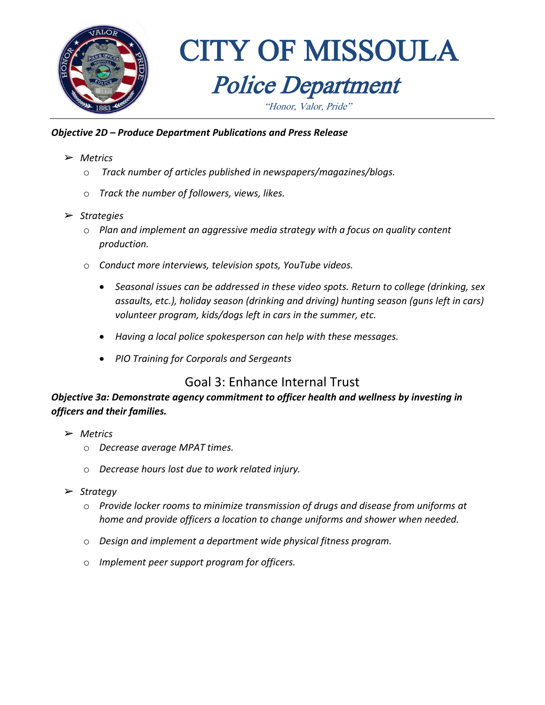

#### *Objective 2D – Produce Department Publications and Press Release*

- ➢ *Metrics*
	- o *Track number of articles published in newspapers/magazines/blogs.*
	- o *Track the number of followers, views, likes.*
- ➢ *Strategies*
	- o *Plan and implement an aggressive media strategy with a focus on quality content production.*
	- o *Conduct more interviews, television spots, YouTube videos.*
		- *Seasonal issues can be addressed in these video spots. Return to college (drinking, sex assaults, etc.), holiday season (drinking and driving) hunting season (guns left in cars) volunteer program, kids/dogs left in cars in the summer, etc.*
		- *Having a local police spokesperson can help with these messages.*
		- *PIO Training for Corporals and Sergeants*

#### Goal 3: Enhance Internal Trust

*Objective 3a: Demonstrate agency commitment to officer health and wellness by investing in officers and their families.*

- ➢ *Metrics*
	- o *Decrease average MPAT times.*
	- o *Decrease hours lost due to work related injury.*
- ➢ *Strategy*
	- o *Provide locker rooms to minimize transmission of drugs and disease from uniforms at home and provide officers a location to change uniforms and shower when needed.*
	- o *Design and implement a department wide physical fitness program.*
	- o *Implement peer support program for officers.*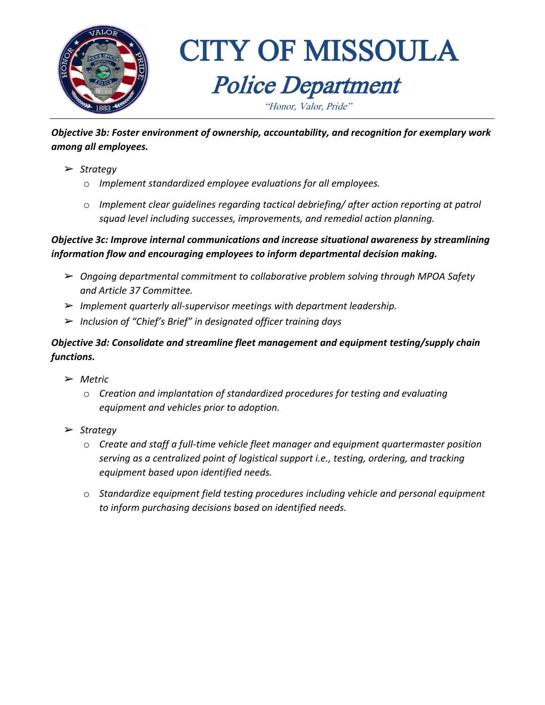

*Objective 3b: Foster environment of ownership, accountability, and recognition for exemplary work among all employees.* 

- ➢ *Strategy*
	- o *Implement standardized employee evaluations for all employees.*
	- o *Implement clear guidelines regarding tactical debriefing/ after action reporting at patrol squad level including successes, improvements, and remedial action planning.*

#### *Objective 3c: Improve internal communications and increase situational awareness by streamlining information flow and encouraging employees to inform departmental decision making.*

- ➢ *Ongoing departmental commitment to collaborative problem solving through MPOA Safety and Article 37 Committee.*
- ➢ *Implement quarterly all-supervisor meetings with department leadership.*
- ➢ *Inclusion of "Chief's Brief" in designated officer training days*

#### *Objective 3d: Consolidate and streamline fleet management and equipment testing/supply chain functions.*

- ➢ *Metric*
	- o *Creation and implantation of standardized procedures for testing and evaluating equipment and vehicles prior to adoption.*
- ➢ *Strategy*
	- o *Create and staff a full-time vehicle fleet manager and equipment quartermaster position serving as a centralized point of logistical support i.e., testing, ordering, and tracking equipment based upon identified needs.*
	- o *Standardize equipment field testing procedures including vehicle and personal equipment to inform purchasing decisions based on identified needs.*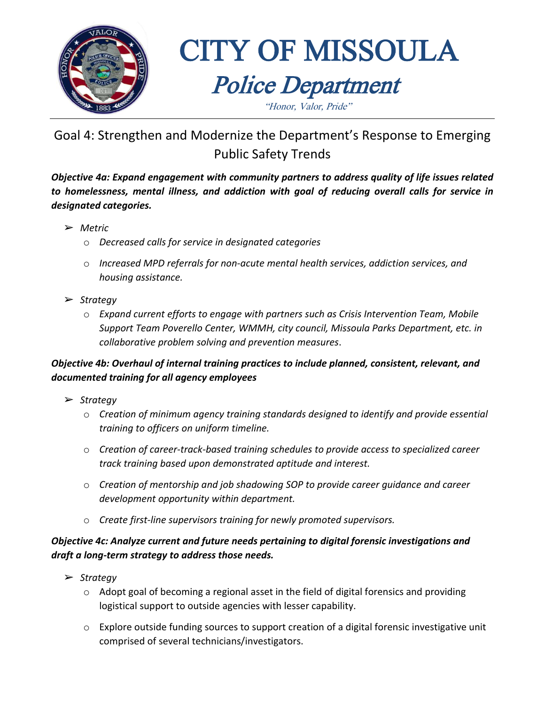

## CITY OF MISSOULA Police Department "Honor, Valor, Pride"

## Goal 4: Strengthen and Modernize the Department's Response to Emerging Public Safety Trends

*Objective 4a: Expand engagement with community partners to address quality of life issues related to homelessness, mental illness, and addiction with goal of reducing overall calls for service in designated categories.*

- ➢ *Metric*
	- o *Decreased calls for service in designated categories*
	- o *Increased MPD referrals for non-acute mental health services, addiction services, and housing assistance.*
- ➢ *Strategy*
	- o *Expand current efforts to engage with partners such as Crisis Intervention Team, Mobile Support Team Poverello Center, WMMH, city council, Missoula Parks Department, etc. in collaborative problem solving and prevention measures*.

#### *Objective 4b: Overhaul of internal training practices to include planned, consistent, relevant, and documented training for all agency employees*

- ➢ *Strategy* 
	- o *Creation of minimum agency training standards designed to identify and provide essential training to officers on uniform timeline.*
	- o *Creation of career-track-based training schedules to provide access to specialized career track training based upon demonstrated aptitude and interest.*
	- o *Creation of mentorship and job shadowing SOP to provide career guidance and career development opportunity within department.*
	- o *Create first-line supervisors training for newly promoted supervisors.*

#### *Objective 4c: Analyze current and future needs pertaining to digital forensic investigations and draft a long-term strategy to address those needs.*

- ➢ *Strategy*
	- o Adopt goal of becoming a regional asset in the field of digital forensics and providing logistical support to outside agencies with lesser capability.
	- o Explore outside funding sources to support creation of a digital forensic investigative unit comprised of several technicians/investigators.